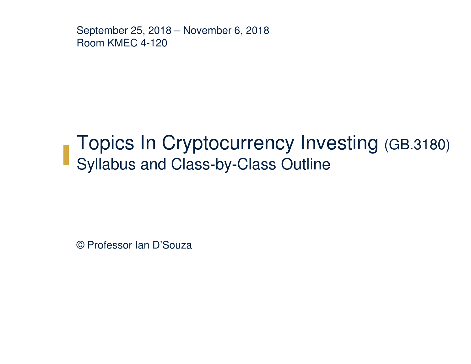September 25, 2018 – November 6, 2018Room KMEC 4-120

# Topics In Cryptocurrency Investing (GB.3180) Syllabus and Class-by-Class Outline

© Professor Ian D'Souza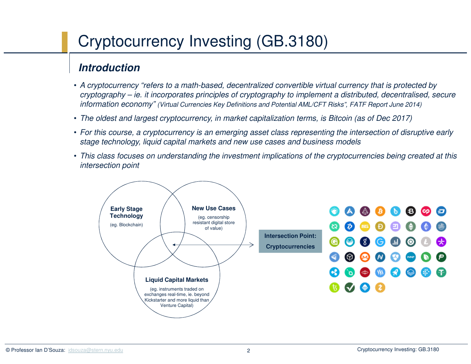# Cryptocurrency Investing (GB.3180)

# **Introduction**

- A cryptocurrency "refers to a math-based, decentralized convertible virtual currency that is protected by cryptography – ie. it incorporates principles of cryptography to implement a distributed, decentralised, secure information economy" (Virtual Currencies Key Definitions and Potential AML/CFT Risks", FATF Report June 2014)
- The oldest and largest cryptocurrency, in market capitalization terms, is Bitcoin (as of Dec 2017)
- For this course, a cryptocurrency is an emerging asset class representing the intersection of disruptive early stage technology, liquid capital markets and new use cases and business models
- This class focuses on understanding the investment implications of the cryptocurrencies being created at this intersection point

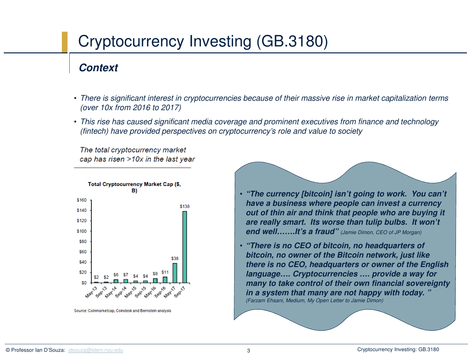# Cryptocurrency Investing (GB.3180)

# **Context**

- There is significant interest in cryptocurrencies because of their massive rise in market capitalization terms (over 10x from 2016 to 2017)
- This rise has caused significant media coverage and prominent executives from finance and technology (fintech) have provided perspectives on cryptocurrency's role and value to society

The total cryptocurrency market cap has risen >10x in the last year



Source: Coinmarketcap, Coindesk and Bernstein analysis



- **"The currency [bitcoin] isn't going to work. You can't have a business where people can invest a currency out of thin air and think that people who are buying it are really smart. Its worse than tulip bulbs. It won't end well…….It's a fraud"** (Jamie Dimon, CEO of JP Morgan)
- **"There is no CEO of bitcoin, no headquarters of bitcoin, no owner of the Bitcoin network, just like there is no CEO, headquarters or owner of the English language…. Cryptocurrencies …. provide a way for many to take control of their own financial sovereignty in a system that many are not happy with today. "**  (Farzam Ehsani, Medium, My Open Letter to Jamie Dimon)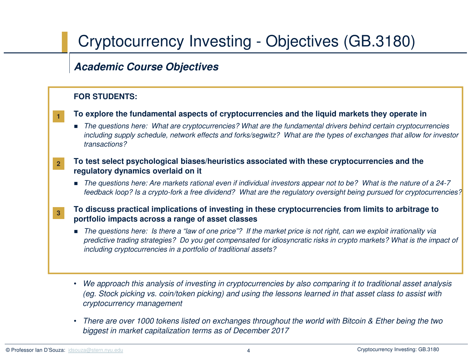# Cryptocurrency Investing - Objectives (GB.3180)

# **Academic Course Objectives**

# **FOR STUDENTS:**

**1**

- **To explore the fundamental aspects of cryptocurrencies and the liquid markets they operate in**
	- The questions here: What are cryptocurrencies? What are the fundamental drivers behind certain cryptocurrencies including supply schedule, network effects and forks/segwitz? What are the types of exchanges that allow for investor transactions?
- **To test select psychological biases/heuristics associated with these cryptocurrencies and the regulatory dynamics overlaid on it2**
	- The questions here: Are markets rational even if individual investors appear not to be? What is the nature of a 24-7 feedback loop? Is a crypto-fork a free dividend? What are the regulatory oversight being pursued for cryptocurrencies?
	- **To discuss practical implications of investing in these cryptocurrencies from limits to arbitrage to portfolio impacts across a range of asset classes**
		- The questions here: Is there a "law of one price"? If the market price is not right, can we exploit irrationality via predictive trading strategies? Do you get compensated for idiosyncratic risks in crypto markets? What is the impact of including cryptocurrencies in a portfolio of traditional assets?
		- • We approach this analysis of investing in cryptocurrencies by also comparing it to traditional asset analysis (eg. Stock picking vs. coin/token picking) and using the lessons learned in that asset class to assist with cryptocurrency management
		- $\bullet$  There are over 1000 tokens listed on exchanges throughout the world with Bitcoin & Ether being the two biggest in market capitalization terms as of December 2017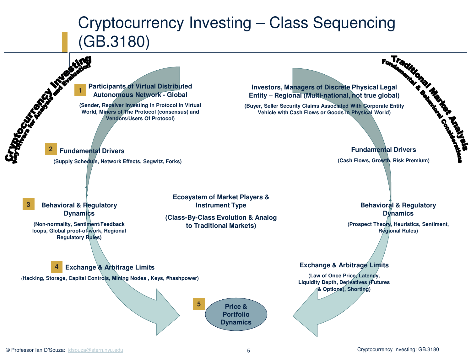# Cryptocurrency Investing – Class Sequencing (GB.3180)

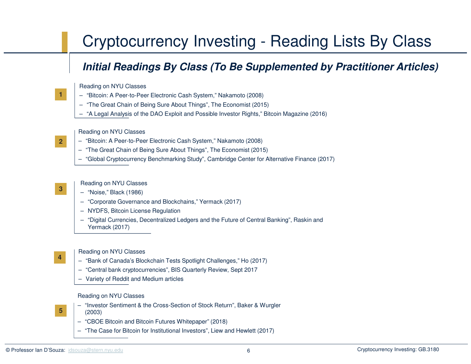# Cryptocurrency Investing - Reading Lists By Class

# **Initial Readings By Class (To Be Supplemented by Practitioner Articles)**

### Reading on NYU Classes

- "Bitcoin: A Peer-to-Peer Electronic Cash System," Nakamoto (2008)
- "The Great Chain of Being Sure About Things", The Economist (2015)
- "A Legal Analysis of the DAO Exploit and Possible Investor Rights," Bitcoin Magazine (2016)

### Reading on NYU Classes

- "Bitcoin: A Peer-to-Peer Electronic Cash System," Nakamoto (2008)
- "The Great Chain of Being Sure About Things", The Economist (2015)
- "Global Cryptocurrency Benchmarking Study", Cambridge Center for Alternative Finance (2017)

## Reading on NYU Classes

- "Noise," Black (1986)
- "Corporate Governance and Blockchains," Yermack (2017)
- NYDFS, Bitcoin License Regulation
- "Digital Currencies, Decentralized Ledgers and the Future of Central Banking", Raskin and Yermack (2017)

### Reading on NYU Classes

- "Bank of Canada's Blockchain Tests Spotlight Challenges," Ho (2017)
- "Central bank cryptocurrencies", BIS Quarterly Review, Sept 2017
- Variety of Reddit and Medium articles

### Reading on NYU Classes

**5**

**1**

**2**

**3**

- "Investor Sentiment & the Cross-Section of Stock Return", Baker & Wurgler (2003)
- "CBOE Bitcoin and Bitcoin Futures Whitepaper" (2018)
- "The Case for Bitcoin for Institutional Investors", Liew and Hewlett (2017)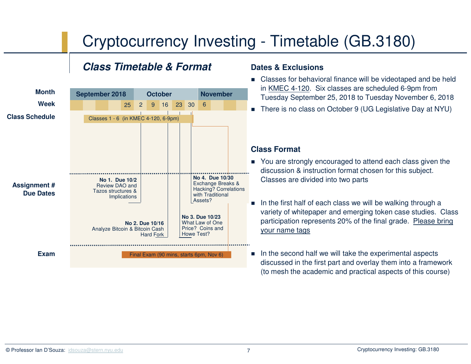# Cryptocurrency Investing - Timetable (GB.3180)

# **Class Timetable & Format Dates & Exclusions**

| <b>Month</b>                            | <b>September 2018</b>                |  |  |  |                                                                               | <b>October</b> |                              |                 |                 |                               | <b>November</b> |                                                                                          |  |  |  |
|-----------------------------------------|--------------------------------------|--|--|--|-------------------------------------------------------------------------------|----------------|------------------------------|-----------------|-----------------|-------------------------------|-----------------|------------------------------------------------------------------------------------------|--|--|--|
| <b>Week</b>                             |                                      |  |  |  | 25 <sup>2</sup>                                                               | 2 <sup>1</sup> | 9 <sup>1</sup>               | 16 <sup>1</sup> | 23 <sup>1</sup> | 30                            | 6               |                                                                                          |  |  |  |
| <b>Class Schedule</b>                   | Classes 1 - 6 (in KMEC 4-120, 6-9pm) |  |  |  |                                                                               |                |                              |                 |                 |                               |                 |                                                                                          |  |  |  |
| <b>Assignment #</b><br><b>Due Dates</b> |                                      |  |  |  | No 1. Due 10/2<br>Review DAO and<br>Tazos structures &<br><b>Implications</b> |                |                              |                 |                 |                               | Assets?         | No 4. Due 10/30<br>Exchange Breaks &<br><b>Hacking? Correlations</b><br>with Traditional |  |  |  |
| <b>Exam</b>                             |                                      |  |  |  | Analyze Bitcoin & Bitcoin Cash                                                |                | No 2. Due 10/16<br>Hard Fork |                 |                 | No 3. Due 10/23<br>Howe Test? |                 | What Law of One<br>Price? Coins and<br>Final Exam (90 mins, starts 6pm, Nov 6)           |  |  |  |

- Classes for behavioral finance will be videotaped and be held in KMEC 4-120. Six classes are scheduled 6-9pm from Tuesday September 25, 2018 to Tuesday November 6, 2018
- There is no class on October 9 (UG Legislative Day at NYU)

# **Class Format**

- You are strongly encouraged to attend each class given the discussion & instruction format chosen for this subject. Classes are divided into two parts
- $\blacksquare$  In the first half of each class we will be walking through a variety of whitepaper and emerging token case studies. Class participation represents 20% of the final grade. Please bring your name tags
- $\blacksquare$  In the second half we will take the experimental aspects discussed in the first part and overlay them into a framework (to mesh the academic and practical aspects of this course)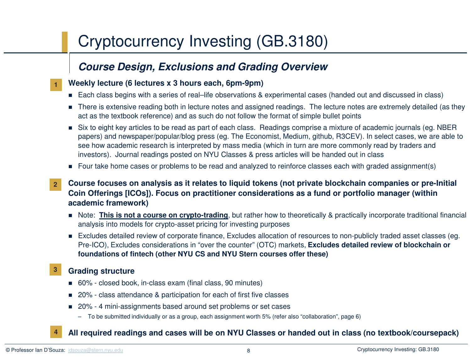# Cryptocurrency Investing (GB.3180)

# **Course Design, Exclusions and Grading Overview**

# **Weekly lecture (6 lectures x 3 hours each, 6pm-9pm)**

- $\blacksquare$  Each class begins with a series of real–life observations & experimental cases (handed out and discussed in class)
- There is extensive reading both in lecture notes and assigned readings. The lecture notes are extremely detailed (as they act as the textbook reference) and as such do not follow the format of simple bullet points
- Six to eight key articles to be read as part of each class. Readings comprise a mixture of academic journals (eg. NBER papers) and newspaper/popular/blog press (eg. The Economist, Medium, github, R3CEV). In select cases, we are able to see how academic research is interpreted by mass media (which in turn are more commonly read by traders and investors). Journal readings posted on NYU Classes & press articles will be handed out in class
- $\;\blacksquare\;$  Four take home cases or problems to be read and analyzed to reinforce classes each with graded assignment(s)
- **Course focuses on analysis as it relates to liquid tokens (not private blockchain companies or pre-Initial Coin Offerings [ICOs]). Focus on practitioner considerations as a fund or portfolio manager (within academic framework)2**
	- Note: This is not a course on crypto-trading, but rather how to theoretically & practically incorporate traditional financial analysis into models for crypto-asset pricing for investing purposes
	- Excludes detailed review of corporate finance, Excludes allocation of resources to non-publicly traded asset classes (eg. Pre-ICO), Excludes considerations in "over the counter" (OTC) markets, **Excludes detailed review of blockchain or foundations of fintech (other NYU CS and NYU Stern courses offer these)**

#### **Grading structure3**

- 60% closed book, in-class exam (final class, 90 minutes)
- 20% class attendance & participation for each of first five classes
- 20% 4 mini-assignments based around set problems or set cases
	- To be submitted individually or as a group, each assignment worth 5% (refer also "collaboration", page 6)

# **All required readings and cases will be on NYU Classes or handed out in class (no textbook/coursepack)**

**4**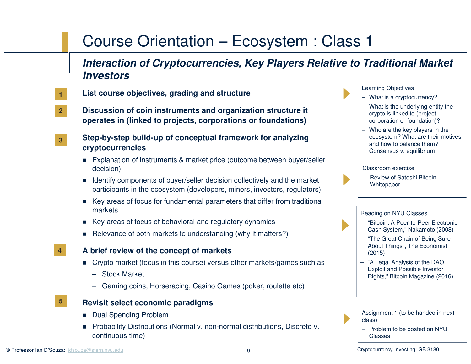# Course Orientation – Ecosystem : Class 1

**Interaction of Cryptocurrencies, Key Players Relative to Traditional Market Investors**

- **List course objectives, grading and structure**
- **Discussion of coin instruments and organization structure it operates in (linked to projects, corporations or foundations)2**
- **Step-by-step build-up of conceptual framework for analyzing cryptocurrencies3**
	- Explanation of instruments & market price (outcome between buyer/seller decision)
	- **I** Identify components of buyer/seller decision collectively and the market participants in the ecosystem (developers, miners, investors, regulators)
	- Key areas of focus for fundamental parameters that differ from traditional markets
	- $\quad \blacksquare$  Key areas of focus of behavioral and regulatory dynamics
	- Relevance of both markets to understanding (why it matters?)
	- **A brief review of the concept of markets**
		- Crypto market (focus in this course) versus other markets/games such as
			- Stock Market
			- Gaming coins, Horseracing, Casino Games (poker, roulette etc)
- **5**

**4**

**1**

# **Revisit select economic paradigms**

- Dual Spending Problem
- Probability Distributions (Normal v. non-normal distributions, Discrete v. continuous time)

### Learning Objectives

- What is a cryptocurrency?
- What is the underlying entity the crypto is linked to (project, corporation or foundation)?
- Who are the key players in the ecosystem? What are their motives and how to balance them? Consensus v. equilibrium

### Classroom exercise

– Review of Satoshi Bitcoin **Whitepaper** 

### Reading on NYU Classes

- "Bitcoin: A Peer-to-Peer Electronic Cash System," Nakamoto (2008)
- "The Great Chain of Being Sure About Things", The Economist (2015)
- "A Legal Analysis of the DAO Exploit and Possible Investor Rights," Bitcoin Magazine (2016)

Assignment 1 (to be handed in next class)

– Problem to be posted on NYU Classes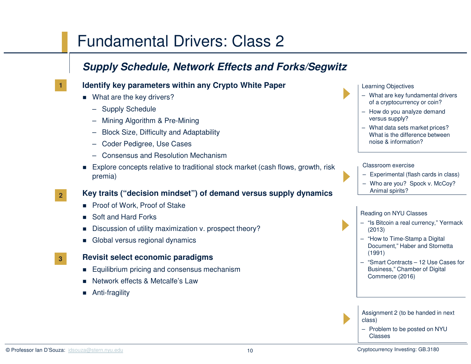# Fundamental Drivers: Class 2

# **Supply Schedule, Network Effects and Forks/Segwitz**

# **Identify key parameters within any Crypto White Paper**

- What are the key drivers?
	- Supply Schedule
	- Mining Algorithm & Pre-Mining
	- Block Size, Difficulty and Adaptability
	- Coder Pedigree, Use Cases
	- Consensus and Resolution Mechanism
- Explore concepts relative to traditional stock market (cash flows, growth, risk premia)

# **Key traits ("decision mindset") of demand versus supply dynamics**

- Proof of Work, Proof of Stake
- Soft and Hard Forks
- Discussion of utility maximization v. prospect theory?
- Global versus regional dynamics

## **Revisit select economic paradigms**

- **Equilibrium pricing and consensus mechanism**
- Network effects & Metcalfe's Law
- Anti-fragility

Learning Objectives

- What are key fundamental drivers of a cryptocurrency or coin?
- How do you analyze demand versus supply?
- What data sets market prices? What is the difference between noise & information?

### Classroom exercise

- Experimental (flash cards in class)
- Who are you? Spock v. McCoy? Animal spirits?

## Reading on NYU Classes

- "Is Bitcoin a real currency," Yermack(2013)
- "How to Time-Stamp a Digital Document," Haber and Stornetta(1991)
- "Smart Contracts 12 Use Cases for Business," Chamber of Digital Commerce (2016)

Assignment 2 (to be handed in next class)

– Problem to be posted on NYU Classes

**1**

**2**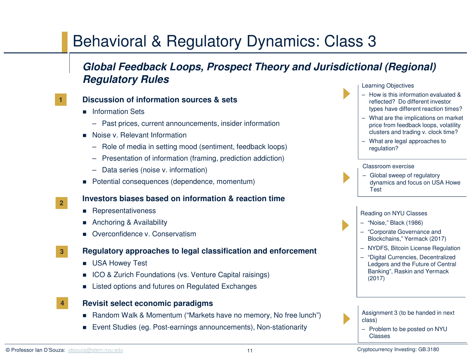# Behavioral & Regulatory Dynamics: Class 3

# **Global Feedback Loops, Prospect Theory and Jurisdictional (Regional) Regulatory Rules**



**2**

## **Discussion of information sources & sets**

- Information Sets
	- Past prices, current announcements, insider information
- Noise v. Relevant Information
	- Role of media in setting mood (sentiment, feedback loops)
	- Presentation of information (framing, prediction addiction)
	- Data series (noise v. information)
- Potential consequences (dependence, momentum)

## **Investors biases based on information & reaction time**

- Representativeness
- Anchoring & Availability
- Overconfidence v. Conservatism

#### **Regulatory approaches to legal classification and enforcement3**

- USA Howey Test
- ICO & Zurich Foundations (vs. Venture Capital raisings)
- Listed options and futures on Regulated Exchanges
- **Revisit select economic paradigms**
	- Random Walk & Momentum ("Markets have no memory, No free lunch")
	- Event Studies (eg. Post-earnings announcements), Non-stationarity



- How is this information evaluated & reflected? Do different investor types have different reaction times?
- What are the implications on market price from feedback loops, volatility clusters and trading v. clock time?
- What are legal approaches to regulation?

### Classroom exercise



## Reading on NYU Classes

- "Noise," Black (1986)
- "Corporate Governance and Blockchains," Yermack (2017)
- NYDFS, Bitcoin License Regulation
- – "Digital Currencies, Decentralized Ledgers and the Future of Central Banking", Raskin and Yermack (2017)

Assignment 3 (to be handed in next class)

– Problem to be posted on NYU Classes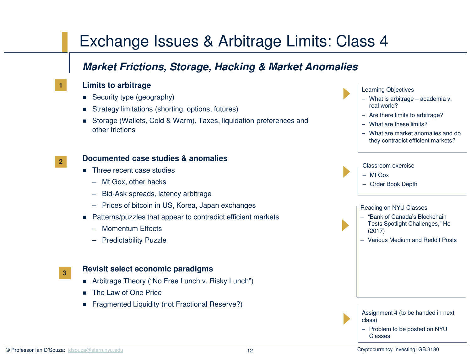# Exchange Issues & Arbitrage Limits: Class 4

# **Market Frictions, Storage, Hacking & Market Anomalies**

# **Limits to arbitrage**

- Security type (geography)
- Strategy limitations (shorting, options, futures)
- Storage (Wallets, Cold & Warm), Taxes, liquidation preferences and other frictions

# **Documented case studies & anomalies**

- Three recent case studies
	- Mt Gox, other hacks
	- Bid-Ask spreads, latency arbitrage
	- Prices of bitcoin in US, Korea, Japan exchanges
- Patterns/puzzles that appear to contradict efficient markets
	- Momentum Effects
	- Predictability Puzzle

# **3**

**1**

**2**

# **Revisit select economic paradigms**

- Arbitrage Theory ("No Free Lunch v. Risky Lunch")
- The Law of One Price
- Fragmented Liquidity (not Fractional Reserve?)

### Learning Objectives

- What is arbitrage academia v. real world?
- Are there limits to arbitrage?
- What are these limits?
- What are market anomalies and do they contradict efficient markets?

### Classroom exercise

- Mt Gox
- Order Book Depth

### Reading on NYU Classes

- "Bank of Canada's Blockchain
- Tests Spotlight Challenges," Ho (2017)
- Various Medium and Reddit Posts

### Assignment 4 (to be handed in next class)

– Problem to be posted on NYU Classes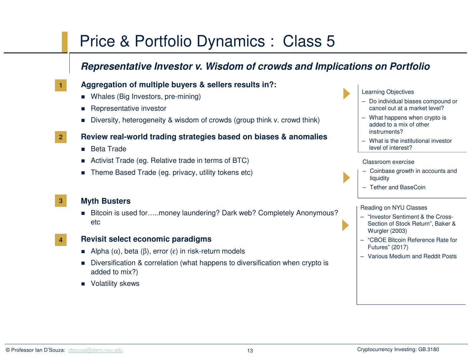# Price & Portfolio Dynamics : Class 5

# **Representative Investor v. Wisdom of crowds and Implications on Portfolio**

**Aggregation of multiple buyers & sellers results in?:**

- Whales (Big Investors, pre-mining)
- Representative investor
- Diversity, heterogeneity & wisdom of crowds (group think v. crowd think)
- **Review real-world trading strategies based on biases & anomalies**
	- Beta Trade
	- Activist Trade (eg. Relative trade in terms of BTC)
	- Theme Based Trade (eg. privacy, utility tokens etc)

#### **Myth Busters 3**

- Bitcoin is used for…..money laundering? Dark web? Completely Anonymous? etc
- **4**

**1**

**2**

## **Revisit select economic paradigms**

- $\blacksquare$  Alpha (α), beta (β), error (ε) in risk-return models
- Diversification & correlation (what happens to diversification when crypto is added to mix?)
- Volatility skews



- Do individual biases compound or cancel out at a market level?
- What happens when crypto is added to a mix of other instruments?
- What is the institutional investor level of interest?

### Classroom exercise

- Coinbase growth in accounts and liquidity
- Tether and BaseCoin

### Reading on NYU Classes

- "Investor Sentiment & the Cross-Section of Stock Return", Baker & Wurgler (2003)
- "CBOE Bitcoin Reference Rate for Futures" (2017)
- Various Medium and Reddit Posts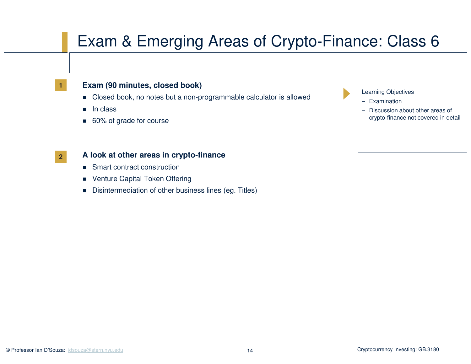# Exam & Emerging Areas of Crypto-Finance: Class 6



**2**

# **Exam (90 minutes, closed book)**

- Closed book, no notes but a non-programmable calculator is allowed
- In class
- 60% of grade for course

# **A look at other areas in crypto-finance**

- Smart contract construction
- Venture Capital Token Offering
- Disintermediation of other business lines (eg. Titles)



- Examination
- Discussion about other areas of crypto-finance not covered in detail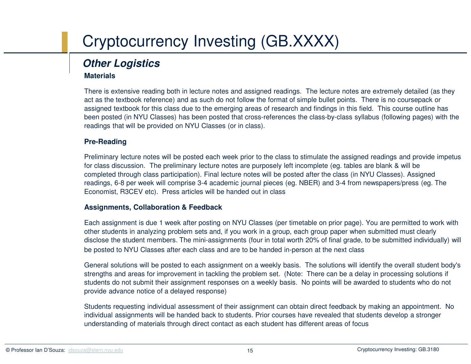# Cryptocurrency Investing (GB.XXXX)

# **Other Logistics**

# **Materials**

There is extensive reading both in lecture notes and assigned readings. The lecture notes are extremely detailed (as they act as the textbook reference) and as such do not follow the format of simple bullet points. There is no coursepack or assigned textbook for this class due to the emerging areas of research and findings in this field. This course outline has been posted (in NYU Classes) has been posted that cross-references the class-by-class syllabus (following pages) with thereadings that will be provided on NYU Classes (or in class).

# **Pre-Reading**

Preliminary lecture notes will be posted each week prior to the class to stimulate the assigned readings and provide impetus for class discussion. The preliminary lecture notes are purposely left incomplete (eg. tables are blank & will be completed through class participation). Final lecture notes will be posted after the class (in NYU Classes). Assigned readings, 6-8 per week will comprise 3-4 academic journal pieces (eg. NBER) and 3-4 from newspapers/press (eg. TheEconomist, R3CEV etc). Press articles will be handed out in class

# **Assignments, Collaboration & Feedback**

Each assignment is due 1 week after posting on NYU Classes (per timetable on prior page). You are permitted to work with other students in analyzing problem sets and, if you work in a group, each group paper when submitted must clearly disclose the student members. The mini-assignments (four in total worth 20% of final grade, to be submitted individually) will be posted to NYU Classes after each class and are to be handed in-person at the next class

General solutions will be posted to each assignment on a weekly basis. The solutions will identify the overall student body's strengths and areas for improvement in tackling the problem set. (Note: There can be a delay in processing solutions if students do not submit their assignment responses on a weekly basis. No points will be awarded to students who do not provide advance notice of a delayed response)

Students requesting individual assessment of their assignment can obtain direct feedback by making an appointment. Noindividual assignments will be handed back to students. Prior courses have revealed that students develop a stronger understanding of materials through direct contact as each student has different areas of focus